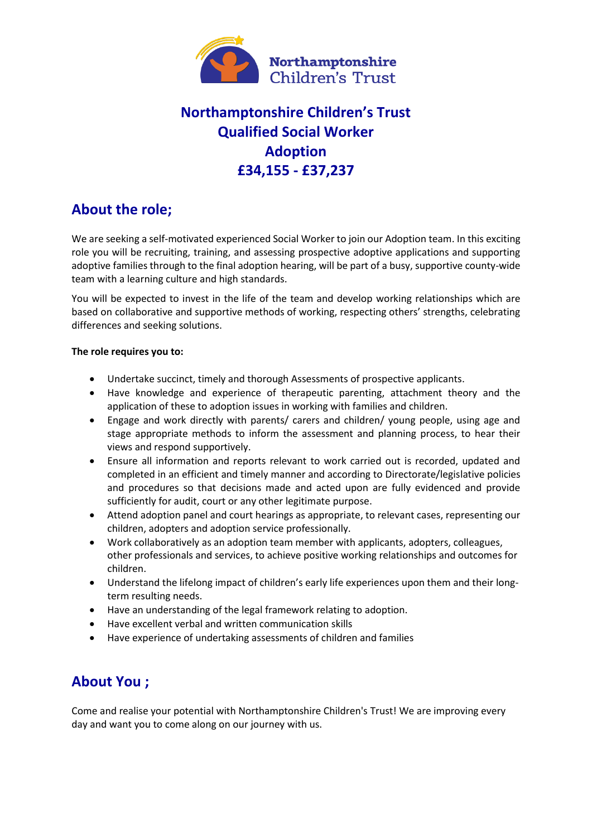

# **Northamptonshire Children's Trust Qualified Social Worker Adoption £34,155 - £37,237**

### **About the role;**

We are seeking a self-motivated experienced Social Worker to join our Adoption team. In this exciting role you will be recruiting, training, and assessing prospective adoptive applications and supporting adoptive families through to the final adoption hearing, will be part of a busy, supportive county-wide team with a learning culture and high standards.

You will be expected to invest in the life of the team and develop working relationships which are based on collaborative and supportive methods of working, respecting others' strengths, celebrating differences and seeking solutions.

#### **The role requires you to:**

- Undertake succinct, timely and thorough Assessments of prospective applicants.
- Have knowledge and experience of therapeutic parenting, attachment theory and the application of these to adoption issues in working with families and children.
- Engage and work directly with parents/ carers and children/ young people, using age and stage appropriate methods to inform the assessment and planning process, to hear their views and respond supportively.
- Ensure all information and reports relevant to work carried out is recorded, updated and completed in an efficient and timely manner and according to Directorate/legislative policies and procedures so that decisions made and acted upon are fully evidenced and provide sufficiently for audit, court or any other legitimate purpose.
- Attend adoption panel and court hearings as appropriate, to relevant cases, representing our children, adopters and adoption service professionally.
- Work collaboratively as an adoption team member with applicants, adopters, colleagues, other professionals and services, to achieve positive working relationships and outcomes for children.
- Understand the lifelong impact of children's early life experiences upon them and their longterm resulting needs.
- Have an understanding of the legal framework relating to adoption.
- Have excellent verbal and written communication skills
- Have experience of undertaking assessments of children and families

### **About You ;**

Come and realise your potential with Northamptonshire Children's Trust! We are improving every day and want you to come along on our journey with us.